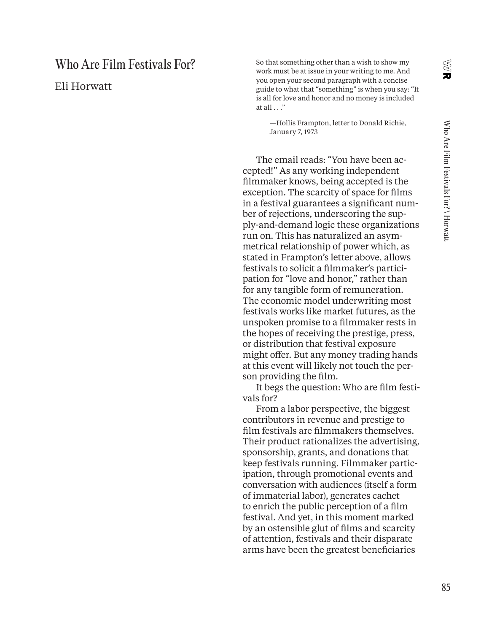# Who Are Film Festivals For?

Eli Horwatt

 So that something other than a wish to show my work must be at issue in your writing to me. And you open your second paragraph with a concise guide to what that "something" is when you say: "It is all for love and honor and no money is included at all  $\ldots$ "

 —Hollis Frampton, letter to Donald Richie, January 7, 1973

The email reads: "You have been accepted!" As any working independent filmmaker knows, being accepted is the exception. The scarcity of space for films in a festival guarantees a significant number of rejections, underscoring the supply-and-demand logic these organizations run on. This has naturalized an asymmetrical relationship of power which, as stated in Frampton's letter above, allows festivals to solicit a filmmaker's participation for "love and honor," rather than for any tangible form of remuneration. The economic model underwriting most festivals works like market futures, as the unspoken promise to a filmmaker rests in the hopes of receiving the prestige, press, or distribution that festival exposure might offer. But any money trading hands at this event will likely not touch the person providing the film.

It begs the question: Who are film festivals for?

From a labor perspective, the biggest contributors in revenue and prestige to film festivals are filmmakers themselves. Their product rationalizes the advertising, sponsorship, grants, and donations that keep festivals running. Filmmaker participation, through promotional events and conversation with audiences (itself a form of immaterial labor), generates cachet to enrich the public perception of a film festival. And yet, in this moment marked by an ostensible glut of films and scarcity of attention, festivals and their disparate arms have been the greatest beneficiaries

X<br>U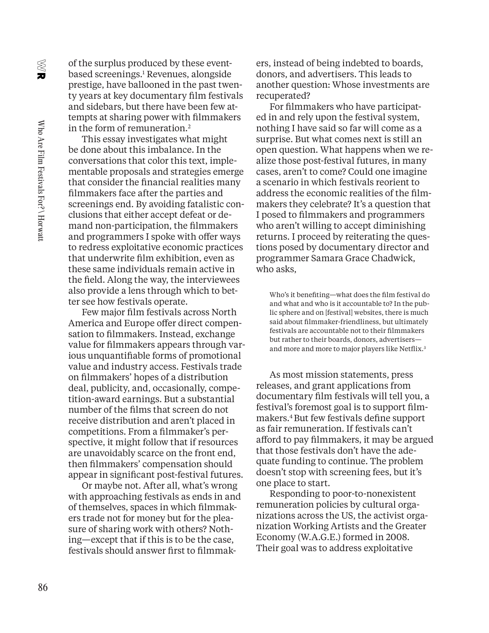$\mathbf{z}$ 

of the surplus produced by these eventbased screenings.1 Revenues, alongside prestige, have ballooned in the past twenty years at key documentary film festivals and sidebars, but there have been few attempts at sharing power with filmmakers in the form of remuneration.<sup>2</sup>

This essay investigates what might be done about this imbalance. In the conversations that color this text, implementable proposals and strategies emerge that consider the financial realities many filmmakers face after the parties and screenings end. By avoiding fatalistic conclusions that either accept defeat or demand non-participation, the filmmakers and programmers I spoke with offer ways to redress exploitative economic practices that underwrite film exhibition, even as these same individuals remain active in the field. Along the way, the interviewees also provide a lens through which to better see how festivals operate.

Few major film festivals across North America and Europe offer direct compensation to filmmakers. Instead, exchange value for filmmakers appears through various unquantifiable forms of promotional value and industry access. Festivals trade on filmmakers' hopes of a distribution deal, publicity, and, occasionally, competition-award earnings. But a substantial number of the films that screen do not receive distribution and aren't placed in competitions. From a filmmaker's perspective, it might follow that if resources are unavoidably scarce on the front end, then filmmakers' compensation should appear in significant post-festival futures.

Or maybe not. After all, what's wrong with approaching festivals as ends in and of themselves, spaces in which filmmakers trade not for money but for the pleasure of sharing work with others? Nothing—except that if this is to be the case, festivals should answer first to filmmakers, instead of being indebted to boards, donors, and advertisers. This leads to another question: Whose investments are recuperated?

For filmmakers who have participated in and rely upon the festival system, nothing I have said so far will come as a surprise. But what comes next is still an open question. What happens when we realize those post-festival futures, in many cases, aren't to come? Could one imagine a scenario in which festivals reorient to address the economic realities of the filmmakers they celebrate? It's a question that I posed to filmmakers and programmers who aren't willing to accept diminishing returns. I proceed by reiterating the questions posed by documentary director and programmer Samara Grace Chadwick, who asks,

 Who's it benefiting—what does the film festival do and what and who is it accountable to? In the public sphere and on [festival] websites, there is much said about filmmaker-friendliness, but ultimately festivals are accountable not to their filmmakers but rather to their boards, donors, advertisers and more and more to major players like Netflix.3

As most mission statements, press releases, and grant applications from documentary film festivals will tell you, a festival's foremost goal is to support filmmakers.4 But few festivals define support as fair remuneration. If festivals can't afford to pay filmmakers, it may be argued that those festivals don't have the adequate funding to continue. The problem doesn't stop with screening fees, but it's one place to start.

Responding to poor-to-nonexistent remuneration policies by cultural organizations across the US, the activist organization Working Artists and the Greater Economy (W.A.G.E.) formed in 2008. Their goal was to address exploitative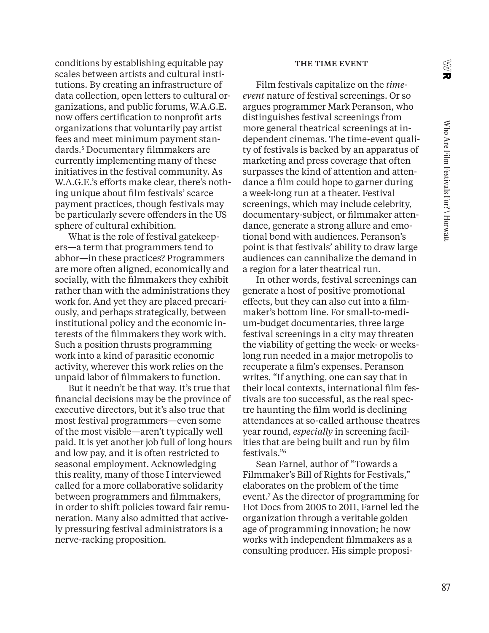X<br>U

conditions by establishing equitable pay scales between artists and cultural institutions. By creating an infrastructure of data collection, open letters to cultural organizations, and public forums, W.A.G.E. now offers certification to nonprofit arts organizations that voluntarily pay artist fees and meet minimum payment standards.5 Documentary filmmakers are currently implementing many of these initiatives in the festival community. As W.A.G.E.'s efforts make clear, there's nothing unique about film festivals' scarce payment practices, though festivals may be particularly severe offenders in the US sphere of cultural exhibition.

What is the role of festival gatekeepers—a term that programmers tend to abhor—in these practices? Programmers are more often aligned, economically and socially, with the filmmakers they exhibit rather than with the administrations they work for. And yet they are placed precariously, and perhaps strategically, between institutional policy and the economic interests of the filmmakers they work with. Such a position thrusts programming work into a kind of parasitic economic activity, wherever this work relies on the unpaid labor of filmmakers to function.

But it needn't be that way. It's true that financial decisions may be the province of executive directors, but it's also true that most festival programmers—even some of the most visible—aren't typically well paid. It is yet another job full of long hours and low pay, and it is often restricted to seasonal employment. Acknowledging this reality, many of those I interviewed called for a more collaborative solidarity between programmers and filmmakers, in order to shift policies toward fair remuneration. Many also admitted that actively pressuring festival administrators is a nerve-racking proposition.

#### THE TIME EVENT

Film festivals capitalize on the *timeevent* nature of festival screenings. Or so argues programmer Mark Peranson, who distinguishes festival screenings from more general theatrical screenings at independent cinemas. The time-event quality of festivals is backed by an apparatus of marketing and press coverage that often surpasses the kind of attention and attendance a film could hope to garner during a week-long run at a theater. Festival screenings, which may include celebrity, documentary-subject, or filmmaker attendance, generate a strong allure and emotional bond with audiences. Peranson's point is that festivals' ability to draw large audiences can cannibalize the demand in a region for a later theatrical run.

In other words, festival screenings can generate a host of positive promotional effects, but they can also cut into a filmmaker's bottom line. For small-to-medium-budget documentaries, three large festival screenings in a city may threaten the viability of getting the week- or weekslong run needed in a major metropolis to recuperate a film's expenses. Peranson writes, "If anything, one can say that in their local contexts, international film festivals are too successful, as the real spectre haunting the film world is declining attendances at so-called arthouse theatres year round, *especially* in screening facilities that are being built and run by film festivals."6

Sean Farnel, author of "Towards a Filmmaker's Bill of Rights for Festivals," elaborates on the problem of the time event.7 As the director of programming for Hot Docs from 2005 to 2011, Farnel led the organization through a veritable golden age of programming innovation; he now works with independent filmmakers as a consulting producer. His simple proposi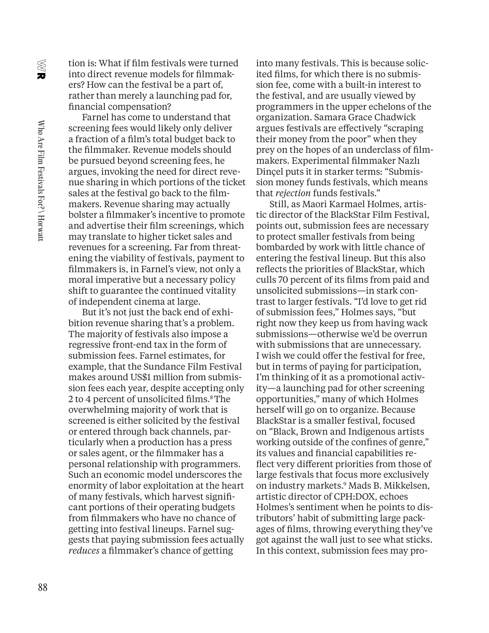X<br>U

tion is: What if film festivals were turned into direct revenue models for filmmakers? How can the festival be a part of, rather than merely a launching pad for, financial compensation?

Farnel has come to understand that screening fees would likely only deliver a fraction of a film's total budget back to the filmmaker. Revenue models should be pursued beyond screening fees, he argues, invoking the need for direct revenue sharing in which portions of the ticket sales at the festival go back to the filmmakers. Revenue sharing may actually bolster a filmmaker's incentive to promote and advertise their film screenings, which may translate to higher ticket sales and revenues for a screening. Far from threatening the viability of festivals, payment to filmmakers is, in Farnel's view, not only a moral imperative but a necessary policy shift to guarantee the continued vitality of independent cinema at large.

But it's not just the back end of exhibition revenue sharing that's a problem. The majority of festivals also impose a regressive front-end tax in the form of submission fees. Farnel estimates, for example, that the Sundance Film Festival makes around US\$1 million from submission fees each year, despite accepting only 2 to 4 percent of unsolicited films.<sup>8</sup> The overwhelming majority of work that is screened is either solicited by the festival or entered through back channels, particularly when a production has a press or sales agent, or the filmmaker has a personal relationship with programmers. Such an economic model underscores the enormity of labor exploitation at the heart of many festivals, which harvest significant portions of their operating budgets from filmmakers who have no chance of getting into festival lineups. Farnel suggests that paying submission fees actually *reduces* a filmmaker's chance of getting

into many festivals. This is because solicited films, for which there is no submission fee, come with a built-in interest to the festival, and are usually viewed by programmers in the upper echelons of the organization. Samara Grace Chadwick argues festivals are effectively "scraping their money from the poor" when they prey on the hopes of an underclass of filmmakers. Experimental filmmaker Nazlı Dinçel puts it in starker terms: "Submission money funds festivals, which means that *rejection* funds festivals."

Still, as Maori Karmael Holmes, artistic director of the BlackStar Film Festival, points out, submission fees are necessary to protect smaller festivals from being bombarded by work with little chance of entering the festival lineup. But this also reflects the priorities of BlackStar, which culls 70 percent of its films from paid and unsolicited submissions—in stark contrast to larger festivals. "I'd love to get rid of submission fees," Holmes says, "but right now they keep us from having wack submissions—otherwise we'd be overrun with submissions that are unnecessary. I wish we could offer the festival for free, but in terms of paying for participation, I'm thinking of it as a promotional activity—a launching pad for other screening opportunities," many of which Holmes herself will go on to organize. Because BlackStar is a smaller festival, focused on "Black, Brown and Indigenous artists working outside of the confines of genre," its values and financial capabilities reflect very different priorities from those of large festivals that focus more exclusively on industry markets.9 Mads B. Mikkelsen, artistic director of CPH:DOX, echoes Holmes's sentiment when he points to distributors' habit of submitting large packages of films, throwing everything they've got against the wall just to see what sticks. In this context, submission fees may pro-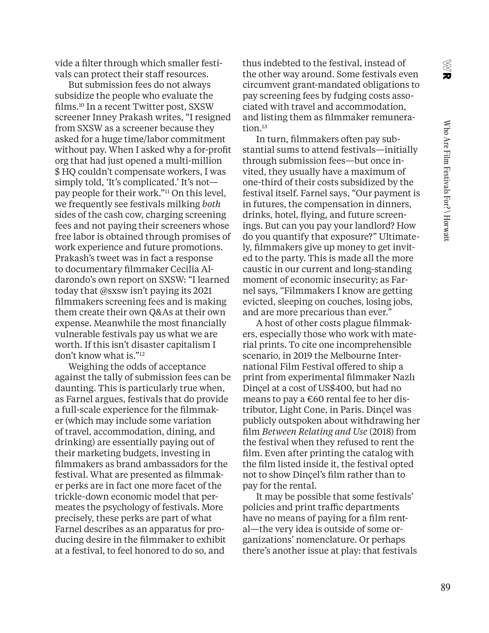**NB** 

vide a filter through which smaller festivals can protect their staff resources.

But submission fees do not always subsidize the people who evaluate the films.10 In a recent Twitter post, SXSW screener Inney Prakash writes, "I resigned from SXSW as a screener because they asked for a huge time/labor commitment without pay. When I asked why a for-profit org that had just opened a multi-million \$ HQ couldn't compensate workers, I was simply told, 'It's complicated.' It's not pay people for their work."<sup>11</sup> On this level, we frequently see festivals milking *both* sides of the cash cow, charging screening fees and not paying their screeners whose free labor is obtained through promises of work experience and future promotions. Prakash's tweet was in fact a response to documentary filmmaker Cecilia Aldarondo's own report on SXSW: "I learned today that @sxsw isn't paying its 2021 filmmakers screening fees and is making them create their own Q&As at their own expense. Meanwhile the most financially vulnerable festivals pay us what we are worth. If this isn't disaster capitalism I don't know what is."12

Weighing the odds of acceptance against the tally of submission fees can be daunting. This is particularly true when, as Farnel argues, festivals that do provide a full-scale experience for the filmmaker (which may include some variation of travel, accommodation, dining, and drinking) are essentially paying out of their marketing budgets, investing in filmmakers as brand ambassadors for the festival. What are presented as filmmaker perks are in fact one more facet of the trickle-down economic model that permeates the psychology of festivals. More precisely, these perks are part of what Farnel describes as an apparatus for producing desire in the filmmaker to exhibit at a festival, to feel honored to do so, and

thus indebted to the festival, instead of the other way around. Some festivals even circumvent grant-mandated obligations to pay screening fees by fudging costs associated with travel and accommodation, and listing them as filmmaker remuneration.<sup>13</sup>

In turn, filmmakers often pay substantial sums to attend festivals—initially through submission fees—but once invited, they usually have a maximum of one-third of their costs subsidized by the festival itself. Farnel says, "Our payment is in futures, the compensation in dinners, drinks, hotel, flying, and future screenings. But can you pay your landlord? How do you quantify that exposure?" Ultimately, filmmakers give up money to get invited to the party. This is made all the more caustic in our current and long-standing moment of economic insecurity; as Farnel says, "Filmmakers I know are getting evicted, sleeping on couches, losing jobs, and are more precarious than ever."

A host of other costs plague filmmakers, especially those who work with material prints. To cite one incomprehensible scenario, in 2019 the Melbourne International Film Festival offered to ship a print from experimental filmmaker Nazlı Dinçel at a cost of US\$400, but had no means to pay a  $€60$  rental fee to her distributor, Light Cone, in Paris. Dinçel was publicly outspoken about withdrawing her film *Between Relating and Use* (2018) from the festival when they refused to rent the film. Even after printing the catalog with the film listed inside it, the festival opted not to show Dinçel's film rather than to pay for the rental.

It may be possible that some festivals' policies and print traffic departments have no means of paying for a film rental—the very idea is outside of some organizations' nomenclature. Or perhaps there's another issue at play: that festivals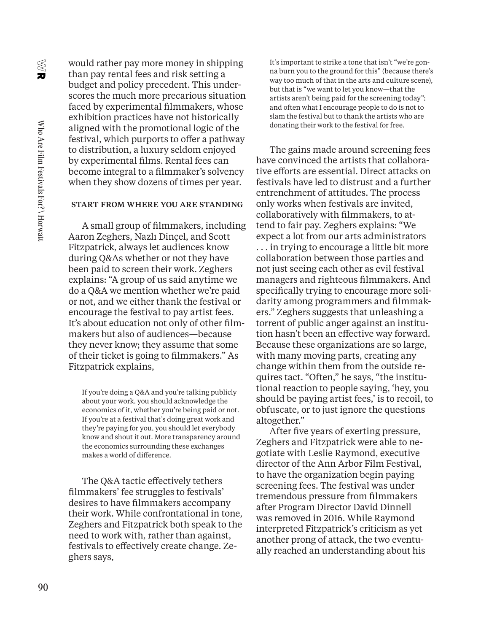$\mathbf{z}$ 

would rather pay more money in shipping than pay rental fees and risk setting a budget and policy precedent. This underscores the much more precarious situation faced by experimental filmmakers, whose exhibition practices have not historically aligned with the promotional logic of the festival, which purports to offer a pathway to distribution, a luxury seldom enjoyed by experimental films. Rental fees can become integral to a filmmaker's solvency when they show dozens of times per year.

### START FROM WHERE YOU ARE STANDING

A small group of filmmakers, including Aaron Zeghers, Nazlı Dinçel, and Scott Fitzpatrick, always let audiences know during Q&As whether or not they have been paid to screen their work. Zeghers explains: "A group of us said anytime we do a Q&A we mention whether we're paid or not, and we either thank the festival or encourage the festival to pay artist fees. It's about education not only of other filmmakers but also of audiences—because they never know; they assume that some of their ticket is going to filmmakers." As Fitzpatrick explains,

 If you're doing a Q&A and you're talking publicly about your work, you should acknowledge the economics of it, whether you're being paid or not. If you're at a festival that's doing great work and they're paying for you, you should let everybody know and shout it out. More transparency around the economics surrounding these exchanges makes a world of difference.

The Q&A tactic effectively tethers filmmakers' fee struggles to festivals' desires to have filmmakers accompany their work. While confrontational in tone, Zeghers and Fitzpatrick both speak to the need to work with, rather than against, festivals to effectively create change. Zeghers says,

 It's important to strike a tone that isn't "we're gonna burn you to the ground for this" (because there's way too much of that in the arts and culture scene), but that is "we want to let you know—that the artists aren't being paid for the screening today"; and often what I encourage people to do is not to slam the festival but to thank the artists who are donating their work to the festival for free.

The gains made around screening fees have convinced the artists that collaborative efforts are essential. Direct attacks on festivals have led to distrust and a further entrenchment of attitudes. The process only works when festivals are invited, collaboratively with filmmakers, to attend to fair pay. Zeghers explains: "We expect a lot from our arts administrators . . . in trying to encourage a little bit more collaboration between those parties and not just seeing each other as evil festival managers and righteous filmmakers. And specifically trying to encourage more solidarity among programmers and filmmakers." Zeghers suggests that unleashing a torrent of public anger against an institution hasn't been an effective way forward. Because these organizations are so large, with many moving parts, creating any change within them from the outside requires tact. "Often," he says, "the institutional reaction to people saying, 'hey, you should be paying artist fees,' is to recoil, to obfuscate, or to just ignore the questions altogether."

After five years of exerting pressure, Zeghers and Fitzpatrick were able to negotiate with Leslie Raymond, executive director of the Ann Arbor Film Festival, to have the organization begin paying screening fees. The festival was under tremendous pressure from filmmakers after Program Director David Dinnell was removed in 2016. While Raymond interpreted Fitzpatrick's criticism as yet another prong of attack, the two eventually reached an understanding about his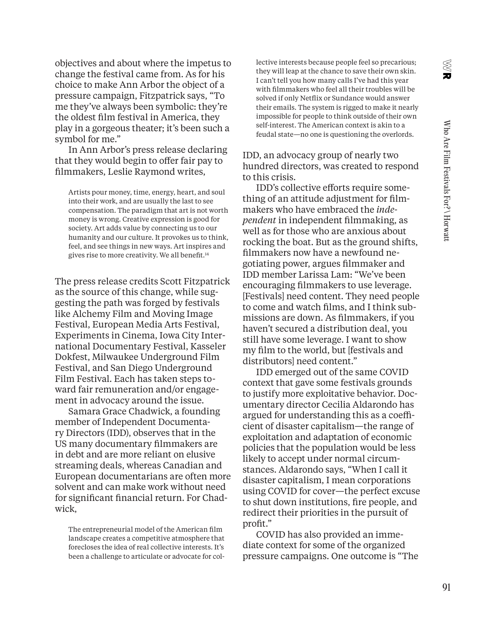X<br>U

objectives and about where the impetus to change the festival came from. As for his choice to make Ann Arbor the object of a pressure campaign, Fitzpatrick says, "To me they've always been symbolic: they're the oldest film festival in America, they play in a gorgeous theater; it's been such a symbol for me."

In Ann Arbor's press release declaring that they would begin to offer fair pay to filmmakers, Leslie Raymond writes,

 Artists pour money, time, energy, heart, and soul into their work, and are usually the last to see compensation. The paradigm that art is not worth money is wrong. Creative expression is good for society. Art adds value by connecting us to our humanity and our culture. It provokes us to think, feel, and see things in new ways. Art inspires and gives rise to more creativity. We all benefit.14

The press release credits Scott Fitzpatrick as the source of this change, while suggesting the path was forged by festivals like Alchemy Film and Moving Image Festival, European Media Arts Festival, Experiments in Cinema, Iowa City International Documentary Festival, Kasseler Dokfest, Milwaukee Underground Film Festival, and San Diego Underground Film Festival. Each has taken steps toward fair remuneration and/or engagement in advocacy around the issue.

Samara Grace Chadwick, a founding member of Independent Documentary Directors (IDD), observes that in the US many documentary filmmakers are in debt and are more reliant on elusive streaming deals, whereas Canadian and European documentarians are often more solvent and can make work without need for significant financial return. For Chadwick,

 The entrepreneurial model of the American film landscape creates a competitive atmosphere that forecloses the idea of real collective interests. It's been a challenge to articulate or advocate for collective interests because people feel so precarious; they will leap at the chance to save their own skin. I can't tell you how many calls I've had this year with filmmakers who feel all their troubles will be solved if only Netflix or Sundance would answer their emails. The system is rigged to make it nearly impossible for people to think outside of their own self-interest. The American context is akin to a feudal state—no one is questioning the overlords.

IDD, an advocacy group of nearly two hundred directors, was created to respond to this crisis.

IDD's collective efforts require something of an attitude adjustment for filmmakers who have embraced the *independent* in independent filmmaking, as well as for those who are anxious about rocking the boat. But as the ground shifts, filmmakers now have a newfound negotiating power, argues filmmaker and IDD member Larissa Lam: "We've been encouraging filmmakers to use leverage. [Festivals] need content. They need people to come and watch films, and I think submissions are down. As filmmakers, if you haven't secured a distribution deal, you still have some leverage. I want to show my film to the world, but [festivals and distributors] need content."

IDD emerged out of the same COVID context that gave some festivals grounds to justify more exploitative behavior. Documentary director Cecilia Aldarondo has argued for understanding this as a coefficient of disaster capitalism—the range of exploitation and adaptation of economic policies that the population would be less likely to accept under normal circumstances. Aldarondo says, "When I call it disaster capitalism, I mean corporations using COVID for cover—the perfect excuse to shut down institutions, fire people, and redirect their priorities in the pursuit of profit."

COVID has also provided an immediate context for some of the organized pressure campaigns. One outcome is "The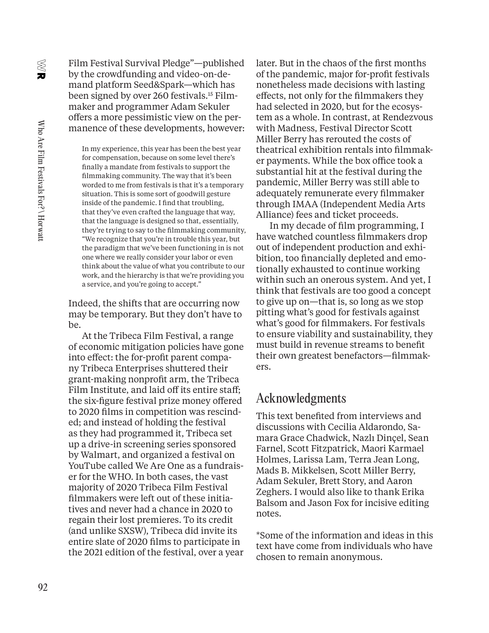$\mathbf{z}$ 

Film Festival Survival Pledge"—published by the crowdfunding and video-on-demand platform Seed&Spark—which has been signed by over 260 festivals.15 Filmmaker and programmer Adam Sekuler offers a more pessimistic view on the permanence of these developments, however:

 In my experience, this year has been the best year for compensation, because on some level there's finally a mandate from festivals to support the filmmaking community. The way that it's been worded to me from festivals is that it's a temporary situation. This is some sort of goodwill gesture inside of the pandemic. I find that troubling, that they've even crafted the language that way, that the language is designed so that, essentially, they're trying to say to the filmmaking community, "We recognize that you're in trouble this year, but the paradigm that we've been functioning in is not one where we really consider your labor or even think about the value of what you contribute to our work, and the hierarchy is that we're providing you a service, and you're going to accept."

Indeed, the shifts that are occurring now may be temporary. But they don't have to be.

At the Tribeca Film Festival, a range of economic mitigation policies have gone into effect: the for-profit parent company Tribeca Enterprises shuttered their grant-making nonprofit arm, the Tribeca Film Institute, and laid off its entire staff; the six-figure festival prize money offered to 2020 films in competition was rescinded; and instead of holding the festival as they had programmed it, Tribeca set up a drive-in screening series sponsored by Walmart, and organized a festival on YouTube called We Are One as a fundraiser for the WHO. In both cases, the vast majority of 2020 Tribeca Film Festival filmmakers were left out of these initiatives and never had a chance in 2020 to regain their lost premieres. To its credit (and unlike SXSW), Tribeca did invite its entire slate of 2020 films to participate in the 2021 edition of the festival, over a year later. But in the chaos of the first months of the pandemic, major for-profit festivals nonetheless made decisions with lasting effects, not only for the filmmakers they had selected in 2020, but for the ecosystem as a whole. In contrast, at Rendezvous with Madness, Festival Director Scott Miller Berry has rerouted the costs of theatrical exhibition rentals into filmmaker payments. While the box office took a substantial hit at the festival during the pandemic, Miller Berry was still able to adequately remunerate every filmmaker through IMAA (Independent Media Arts Alliance) fees and ticket proceeds.

In my decade of film programming, I have watched countless filmmakers drop out of independent production and exhibition, too financially depleted and emotionally exhausted to continue working within such an onerous system. And yet, I think that festivals are too good a concept to give up on—that is, so long as we stop pitting what's good for festivals against what's good for filmmakers. For festivals to ensure viability and sustainability, they must build in revenue streams to benefit their own greatest benefactors—filmmakers.

### Acknowledgments

This text benefited from interviews and discussions with Cecilia Aldarondo, Samara Grace Chadwick, Nazlı Dinçel, Sean Farnel, Scott Fitzpatrick, Maori Karmael Holmes, Larissa Lam, Terra Jean Long, Mads B. Mikkelsen, Scott Miller Berry, Adam Sekuler, Brett Story, and Aaron Zeghers. I would also like to thank Erika Balsom and Jason Fox for incisive editing notes.

\*Some of the information and ideas in this text have come from individuals who have chosen to remain anonymous.